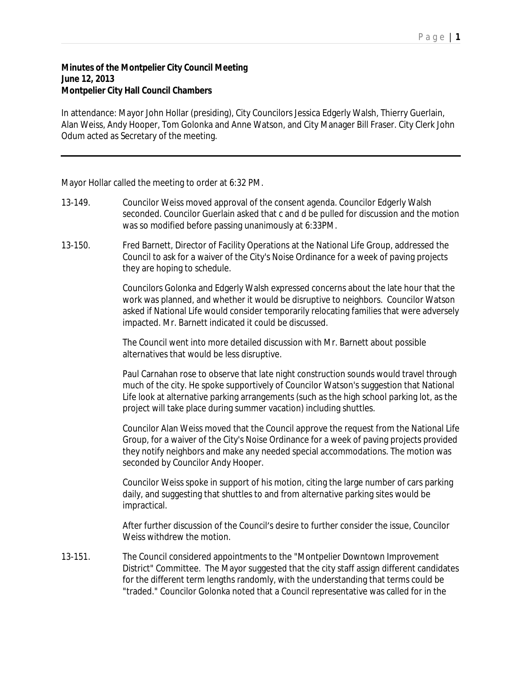## **Minutes of the Montpelier City Council Meeting June 12, 2013 Montpelier City Hall Council Chambers**

In attendance: Mayor John Hollar (presiding), City Councilors Jessica Edgerly Walsh, Thierry Guerlain, Alan Weiss, Andy Hooper, Tom Golonka and Anne Watson, and City Manager Bill Fraser. City Clerk John Odum acted as Secretary of the meeting.

Mayor Hollar called the meeting to order at 6:32 PM.

- 13-149. Councilor Weiss moved approval of the consent agenda. Councilor Edgerly Walsh seconded. Councilor Guerlain asked that c and d be pulled for discussion and the motion was so modified before passing unanimously at 6:33PM.
- 13-150. Fred Barnett, Director of Facility Operations at the National Life Group, addressed the Council to ask for a waiver of the City's Noise Ordinance for a week of paving projects they are hoping to schedule.

Councilors Golonka and Edgerly Walsh expressed concerns about the late hour that the work was planned, and whether it would be disruptive to neighbors. Councilor Watson asked if National Life would consider temporarily relocating families that were adversely impacted. Mr. Barnett indicated it could be discussed.

The Council went into more detailed discussion with Mr. Barnett about possible alternatives that would be less disruptive.

Paul Carnahan rose to observe that late night construction sounds would travel through much of the city. He spoke supportively of Councilor Watson's suggestion that National Life look at alternative parking arrangements (such as the high school parking lot, as the project will take place during summer vacation) including shuttles.

Councilor Alan Weiss moved that the Council approve the request from the National Life Group, for a waiver of the City's Noise Ordinance for a week of paving projects provided they notify neighbors and make any needed special accommodations. The motion was seconded by Councilor Andy Hooper.

Councilor Weiss spoke in support of his motion, citing the large number of cars parking daily, and suggesting that shuttles to and from alternative parking sites would be impractical.

After further discussion of the Council's desire to further consider the issue, Councilor Weiss withdrew the motion.

13-151. The Council considered appointments to the "Montpelier Downtown Improvement District" Committee. The Mayor suggested that the city staff assign different candidates for the different term lengths randomly, with the understanding that terms could be "traded." Councilor Golonka noted that a Council representative was called for in the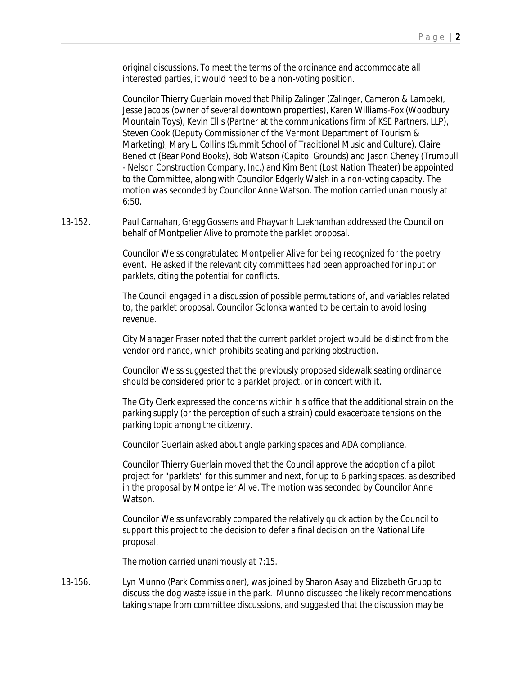original discussions. To meet the terms of the ordinance and accommodate all interested parties, it would need to be a non-voting position.

Councilor Thierry Guerlain moved that Philip Zalinger (Zalinger, Cameron & Lambek), Jesse Jacobs (owner of several downtown properties), Karen Williams-Fox (Woodbury Mountain Toys), Kevin Ellis (Partner at the communications firm of KSE Partners, LLP), Steven Cook (Deputy Commissioner of the Vermont Department of Tourism & Marketing), Mary L. Collins (Summit School of Traditional Music and Culture), Claire Benedict (Bear Pond Books), Bob Watson (Capitol Grounds) and Jason Cheney (Trumbull - Nelson Construction Company, Inc.) and Kim Bent (Lost Nation Theater) be appointed to the Committee, along with Councilor Edgerly Walsh in a non-voting capacity. The motion was seconded by Councilor Anne Watson. The motion carried unanimously at 6:50.

13-152. Paul Carnahan, Gregg Gossens and Phayvanh Luekhamhan addressed the Council on behalf of Montpelier Alive to promote the parklet proposal.

> Councilor Weiss congratulated Montpelier Alive for being recognized for the poetry event. He asked if the relevant city committees had been approached for input on parklets, citing the potential for conflicts.

The Council engaged in a discussion of possible permutations of, and variables related to, the parklet proposal. Councilor Golonka wanted to be certain to avoid losing revenue.

City Manager Fraser noted that the current parklet project would be distinct from the vendor ordinance, which prohibits seating and parking obstruction.

Councilor Weiss suggested that the previously proposed sidewalk seating ordinance should be considered prior to a parklet project, or in concert with it.

The City Clerk expressed the concerns within his office that the additional strain on the parking supply (or the perception of such a strain) could exacerbate tensions on the parking topic among the citizenry.

Councilor Guerlain asked about angle parking spaces and ADA compliance.

Councilor Thierry Guerlain moved that the Council approve the adoption of a pilot project for "parklets" for this summer and next, for up to 6 parking spaces, as described in the proposal by Montpelier Alive. The motion was seconded by Councilor Anne Watson.

Councilor Weiss unfavorably compared the relatively quick action by the Council to support this project to the decision to defer a final decision on the National Life proposal.

The motion carried unanimously at 7:15.

13-156. Lyn Munno (Park Commissioner), was joined by Sharon Asay and Elizabeth Grupp to discuss the dog waste issue in the park. Munno discussed the likely recommendations taking shape from committee discussions, and suggested that the discussion may be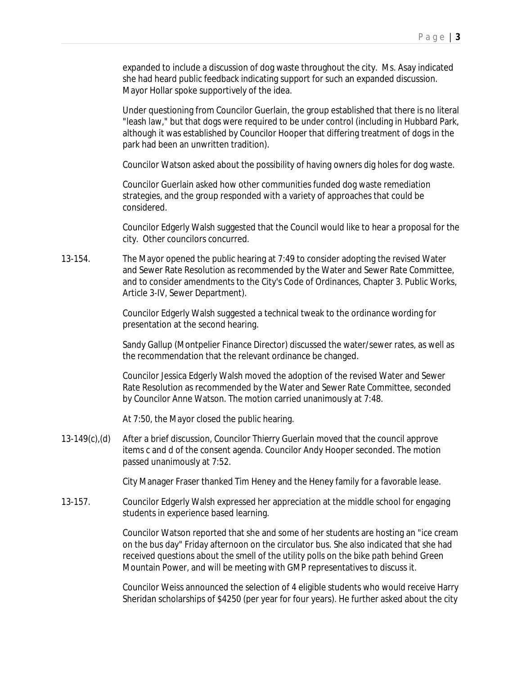expanded to include a discussion of dog waste throughout the city. Ms. Asay indicated she had heard public feedback indicating support for such an expanded discussion. Mayor Hollar spoke supportively of the idea.

Under questioning from Councilor Guerlain, the group established that there is no literal "leash law," but that dogs were required to be under control (including in Hubbard Park, although it was established by Councilor Hooper that differing treatment of dogs in the park had been an unwritten tradition).

Councilor Watson asked about the possibility of having owners dig holes for dog waste.

Councilor Guerlain asked how other communities funded dog waste remediation strategies, and the group responded with a variety of approaches that could be considered.

Councilor Edgerly Walsh suggested that the Council would like to hear a proposal for the city. Other councilors concurred.

13-154. The Mayor opened the public hearing at 7:49 to consider adopting the revised Water and Sewer Rate Resolution as recommended by the Water and Sewer Rate Committee, and to consider amendments to the City's Code of Ordinances, Chapter 3. Public Works, Article 3-IV, Sewer Department).

> Councilor Edgerly Walsh suggested a technical tweak to the ordinance wording for presentation at the second hearing.

Sandy Gallup (Montpelier Finance Director) discussed the water/sewer rates, as well as the recommendation that the relevant ordinance be changed.

Councilor Jessica Edgerly Walsh moved the adoption of the revised Water and Sewer Rate Resolution as recommended by the Water and Sewer Rate Committee, seconded by Councilor Anne Watson. The motion carried unanimously at 7:48.

At 7:50, the Mayor closed the public hearing.

13-149(c),(d) After a brief discussion, Councilor Thierry Guerlain moved that the council approve items c and d of the consent agenda. Councilor Andy Hooper seconded. The motion passed unanimously at 7:52.

City Manager Fraser thanked Tim Heney and the Heney family for a favorable lease.

13-157. Councilor Edgerly Walsh expressed her appreciation at the middle school for engaging students in experience based learning.

> Councilor Watson reported that she and some of her students are hosting an "ice cream on the bus day" Friday afternoon on the circulator bus. She also indicated that she had received questions about the smell of the utility polls on the bike path behind Green Mountain Power, and will be meeting with GMP representatives to discuss it.

> Councilor Weiss announced the selection of 4 eligible students who would receive Harry Sheridan scholarships of \$4250 (per year for four years). He further asked about the city